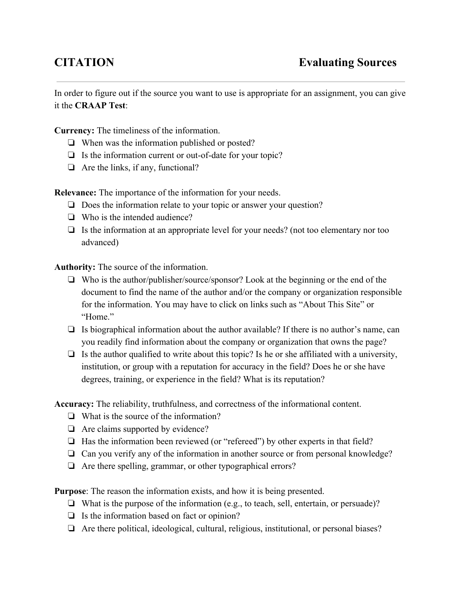In order to figure out if the source you want to use is appropriate for an assignment, you can give it the **CRAAP Test**:

**Currency:** The timeliness of the information.

- ❏ When was the information published or posted?
- $\Box$  Is the information current or out-of-date for your topic?
- ❏ Are the links, if any, functional?

**Relevance:** The importance of the information for your needs.

- ❏ Does the information relate to your topic or answer your question?
- ❏ Who is the intended audience?
- ❏ Is the information at an appropriate level for your needs? (not too elementary nor too advanced)

**Authority:**The source of the information.

- ❏ Who is the author/publisher/source/sponsor? Look at the beginning or the end of the document to find the name of the author and/or the company or organization responsible for the information. You may have to click on links such as "About This Site" or "Home"
- ❏ Is biographical information about the author available? If there is no author's name, can you readily find information about the company or organization that owns the page?
- $\Box$  Is the author qualified to write about this topic? Is he or she affiliated with a university, institution, or group with a reputation for accuracy in the field? Does he or she have degrees, training, or experience in the field? What is its reputation?

**Accuracy:**The reliability, truthfulness, and correctness of the informational content.

- ❏ What is the source of the information?
- ❏ Are claims supported by evidence?
- ❏ Has the information been reviewed (or "refereed") by other experts in that field?
- ❏ Can you verify any of the information in another source or from personal knowledge?
- ❏ Are there spelling, grammar, or other typographical errors?

**Purpose**: The reason the information exists, and how it is being presented.

- ❏ What is the purpose of the information (e.g., to teach, sell, entertain, or persuade)?
- ❏ Is the information based on fact or opinion?
- ❏ Are there political, ideological, cultural, religious, institutional, or personal biases?